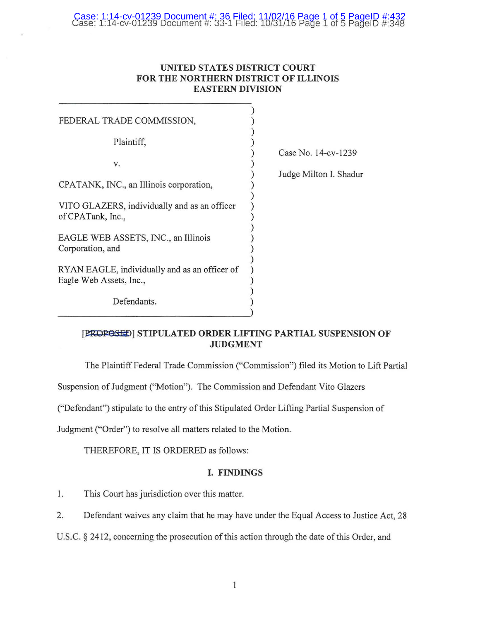# Case: 1:14-cv-01239 Document #: 36 Filed: 11/02/16 Page 1 of 5 PageID #:432 Case: 1:14-cv-01239 Document#: 33-1 Filed: 10/31/16 Page 1 of 5 PagelD #:348

## **UNITED STATES DISTRICT COURT FOR THE NORTHERN DISTRICT OF ILLINOIS EASTERN DIVISION**

| FEDERAL TRADE COMMISSION,                     |                    |
|-----------------------------------------------|--------------------|
| Plaintiff,                                    |                    |
|                                               | Case No. $14$ -cv- |
| V.                                            |                    |
|                                               | Judge Milton I.    |
| CPATANK, INC., an Illinois corporation,       |                    |
|                                               |                    |
| VITO GLAZERS, individually and as an officer  |                    |
| of CPATank, Inc.,                             |                    |
|                                               |                    |
| EAGLE WEB ASSETS, INC., an Illinois           |                    |
| Corporation, and                              |                    |
|                                               |                    |
| RYAN EAGLE, individually and as an officer of |                    |
| Eagle Web Assets, Inc.,                       |                    |
|                                               |                    |
| Defendants.                                   |                    |
|                                               |                    |

1239

Shadur

# [PROPOSED] STIPULATED ORDER LIFTING PARTIAL SUSPENSION OF **JUDGMENT**

The Plaintiff Federal Trade Commission ("Commission") filed its Motion to Lift Partial

Suspension of Judgment ("Motion"). The Commission and Defendant Vito Glazers

("Defendant") stipulate to the entry of this Stipulated Order Lifting Partial Suspension of

Judgment ("Order") to resolve all matters related to the Motion.

THEREFORE, IT IS ORDERED as follows:

### **I. FINDINGS**

1. This Court has jurisdiction over this matter.

2. Defendant waives any claim that he may have under the Equal Access to Justice Act, 28

U.S.C. § 2412, concerning the prosecution of this action through the date of this Order, and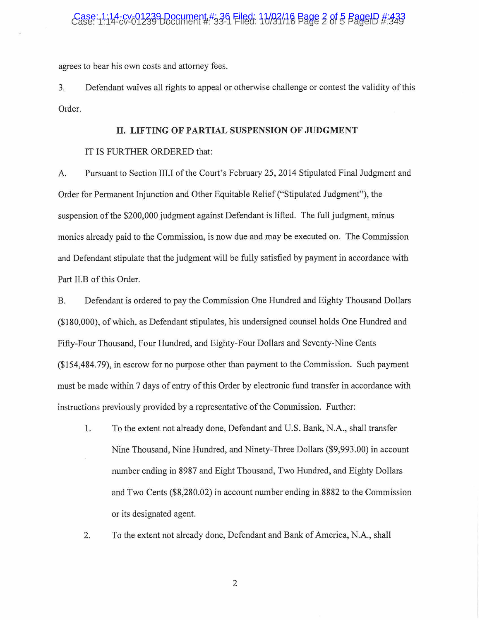# Case: 1:14-cv-01239 Document #: 36 Filed: 11/03/16 Page 2 of 5 PageID #: 343

agrees to bear his own costs and attorney fees.

3. Defendant waives all rights to appeal or otherwise challenge or contest the validity of this Order.

#### **II. LIFTING OF PARTIAL SUSPENSION OF JUDGMENT**

#### IT IS FURTHER ORDERED that:

A. Pursuant to Section III.I of the Court's February 25, 2014 Stipulated Final Judgment and Order for Permanent Injunction and Other Equitable Relief ("Stipulated Judgment"), the suspension of the \$200,000 judgment against Defendant is lifted. The full judgment, minus monies already paid to the Commission, is now due and may be executed on. The Commission and Defendant stipulate that the judgment will be fully satisfied by payment in accordance with Part Il.B of this Order.

B. Defendant is ordered to pay the Commission One Hundred and Eighty Thousand Dollars (\$180,000), of which, as Defendant stipulates, his undersigned counsel holds One Hundred and Fifty-Four Thousand, Four Hundred, and Eighty-Four Dollars and Seventy-Nine Cents (\$154,484. 79), in escrow for no purpose other than payment to the Commission. Such payment must be made within 7 days of entry of this Order by electronic fund transfer in accordance with instructions previously provided by a representative of the Commission. Further:

- 1. To the extent not already done, Defendant and U.S. Bank, N.A., shall transfer Nine Thousand, Nine Hundred, and Ninety-Three Dollars (\$9,993.00) in account number ending in 8987 and Eight Thousand, Two Hundred, and Eighty Dollars and Two Cents (\$8,280.02) in account number ending in 8882 to the Commission or its designated agent.
- 2. To the extent not already done, Defendant and Bank of America, N.A., shall

2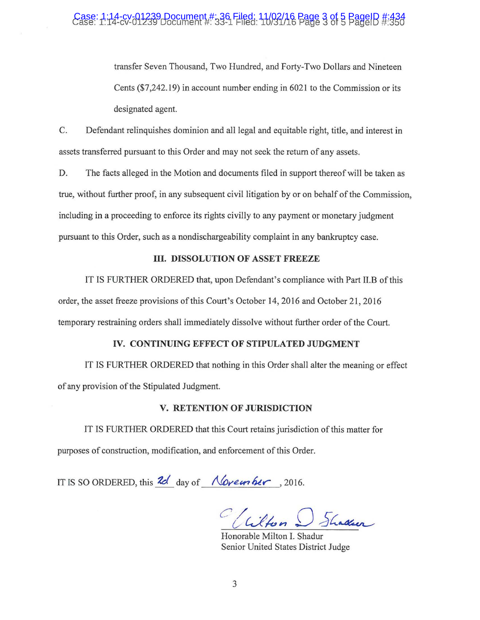# Case: 1:14-cv-01239 Document #: 36 Filed: 11/02/16 Page 3 of 5 PageID #:434 Case: 1:14-cv-01239 Document #: 33-1 Filed: 10/31/16 Page 3 of 5 PagelD #:350

transfer Seven Thousand, Two Hundred, and Forty-Two Dollars and Nineteen Cents (\$7,242.19) in account number ending in 6021 to the Commission or its designated agent.

C. Defendant relinquishes dominion and all legal and equitable right, title, and interest in assets transferred pursuant to this Order and may not seek the return of any assets.

D. The facts alleged in the Motion and documents filed in support thereof will be taken as true, without further proof, in any subsequent civil litigation by or on behalf of the Commission, including in a proceeding to enforce its rights civilly to any payment or monetary judgment pursuant to this Order, such as a nondischargeability complaint in any bankruptcy case.

## **III. DISSOLUTION OF ASSET FREEZE**

IT IS FURTHER ORDERED that, upon Defendant's compliance with Part 11.B of this order, the asset freeze provisions of this Court's October 14, 2016 and October 21, 2016 temporary restraining orders shall immediately dissolve without further order of the Court.

#### **IV. CONTINUING EFFECT OF STIPULATED JUDGMENT**

IT IS FURTHER ORDERED that nothing in this Order shall alter the meaning or effect of any provision of the Stipulated Judgment.

#### **V. RETENTION OF JURISDICTION**

IT IS FURTHER ORDERED that this Court retains jurisdiction of this matter for purposes of construction, modification, and enforcement of this Order.

IT IS SO ORDERED, this **2d** day of <u>November</u>, 2016.

C/Wilton D Shaden

Honorable Milton I. Shadur Senior United States District Judge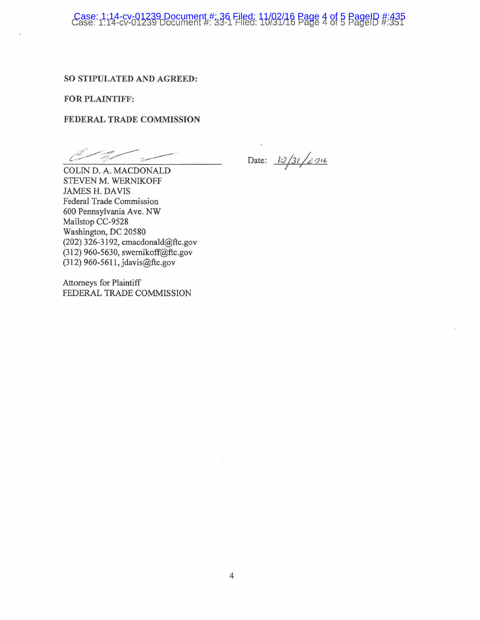# Case: 1:14-cv-01239 Document #: 36 Filed: 11/02/16 Page 4 of 5 PageID #:435 Case: 1:14-cv-01239 Document #: 33-1 Filed: 10/31/16 Page 4 of 5 PagelD #:351

### **SO STIPULATED AND AGREED:**

**FOR PLAINTIFF:** 

### **FEDERAL TRADE COMMISSION**

Date: 12/31/2916

COLIN D. A. MACDONALD STEVEN M. WERNIKOFF JAMES H. DAVIS Federal Trade Commission 600 Pennsylvania Ave. NW Mailstop CC-9528 Washington, DC 20580 (202) 326-3192, cmacdonald@ftc.gov (312) 960-5630, swemikoff@ftc.gov (312) 960-5611, jdavis@ftc.gov

Attorneys for Plaintiff FEDERAL TRADE COMMISSION